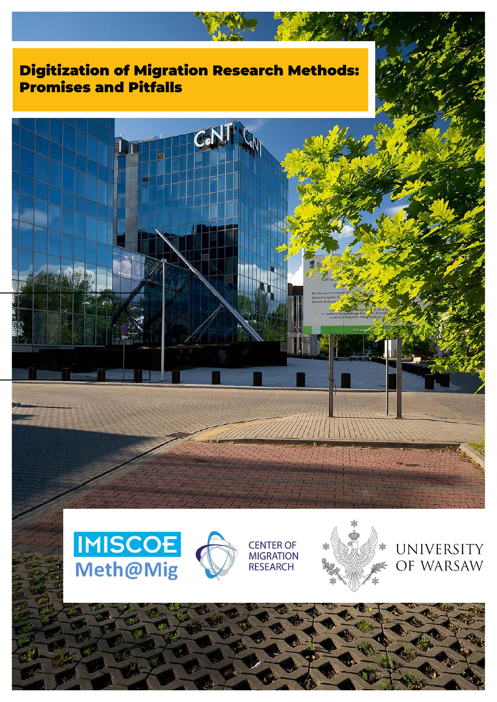# Digitization of Migration Research Methods: Promises and Pitfalls









UNIVERSITY OF WARSAW



**CENTER OF** 

**MIGRATION** 

**RESEARCH**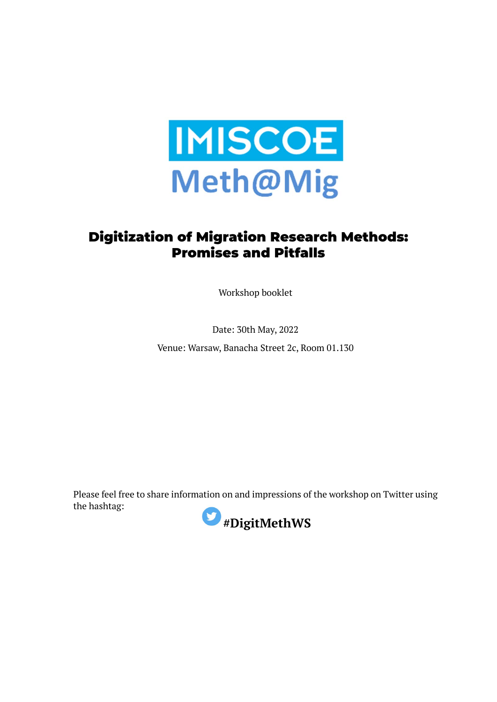

## Digitization of Migration Research Methods: Promises and Pitfalls

Workshop booklet

Date: 30th May, 2022

Venue: Warsaw, Banacha Street 2c, Room 01.130

Please feel free to share information on and impressions of the workshop on Twitter using the hashtag:

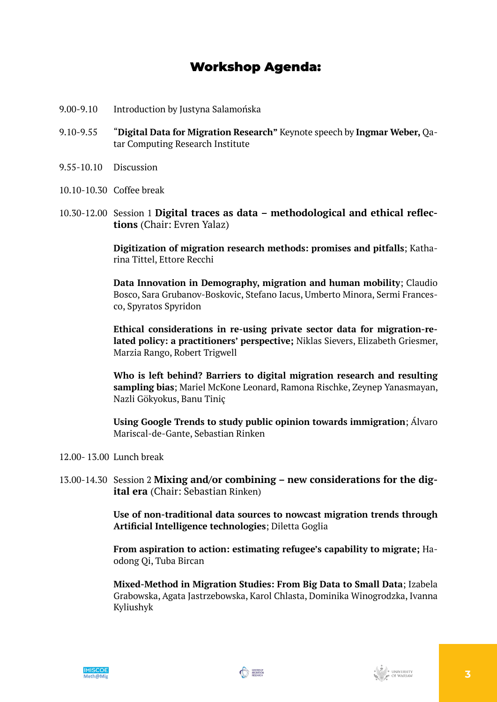## Workshop Agenda:

- 9.00-9.10 Introduction by Justyna Salamońska
- 9.10-9.55 "**Digital Data for Migration Research"** Keynote speech by **Ingmar Weber,** Qatar Computing Research Institute
- 9.55-10.10 Discussion
- 10.10-10.30 Coffee break
- 10.30-12.00 Session 1 **Digital traces as data methodological and ethical reflections** (Chair: Evren Yalaz)

**Digitization of migration research methods: promises and pitfalls**; Katharina Tittel, Ettore Recchi

**Data Innovation in Demography, migration and human mobility**; Claudio Bosco, Sara Grubanov-Boskovic, Stefano Iacus, Umberto Minora, Sermi Francesco, Spyratos Spyridon

**Ethical considerations in re-using private sector data for migration-related policy: a practitioners' perspective;** Niklas Sievers, Elizabeth Griesmer, Marzia Rango, Robert Trigwell

**Who is left behind? Barriers to digital migration research and resulting sampling bias**; Mariel McKone Leonard, Ramona Rischke, Zeynep Yanasmayan, Nazli Gökyokus, Banu Tiniç

**Using Google Trends to study public opinion towards immigration**; Álvaro Mariscal-de-Gante, Sebastian Rinken

- 12.00- 13.00 Lunch break
- 13.00-14.30 Session 2 **Mixing and/or combining new considerations for the digital era** (Chair: Sebastian Rinken)

**Use of non-traditional data sources to nowcast migration trends through Artificial Intelligence technologies**; Diletta Goglia

**From aspiration to action: estimating refugee's capability to migrate;** Haodong Qi, Tuba Bircan

**Mixed-Method in Migration Studies: From Big Data to Small Data**; Izabela Grabowska, Agata Jastrzebowska, Karol Chlasta, Dominika Winogrodzka, Ivanna Kyliushyk



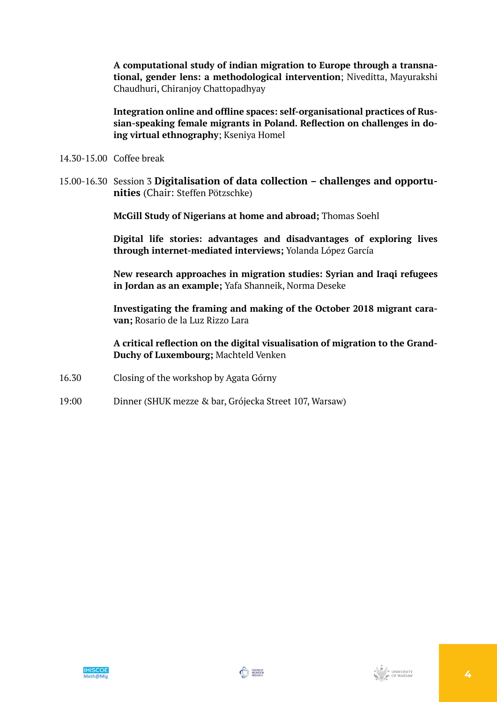**A computational study of indian migration to Europe through a transnational, gender lens: a methodological intervention**; Niveditta, Mayurakshi Chaudhuri, Chiranjoy Chattopadhyay

**Integration online and offline spaces: self-organisational practices of Russian-speaking female migrants in Poland. Reflection on challenges in doing virtual ethnography**; Kseniya Homel

- 14.30-15.00 Coffee break
- 15.00-16.30 Session 3 **Digitalisation of data collection challenges and opportunities** (Chair: Steffen Pötzschke)

**McGill Study of Nigerians at home and abroad;** Thomas Soehl

**Digital life stories: advantages and disadvantages of exploring lives through internet-mediated interviews;** Yolanda López García

**New research approaches in migration studies: Syrian and Iraqi refugees in Jordan as an example;** Yafa Shanneik, Norma Deseke

**Investigating the framing and making of the October 2018 migrant caravan;** Rosario de la Luz Rizzo Lara

**A critical reflection on the digital visualisation of migration to the Grand-Duchy of Luxembourg;** Machteld Venken

- 16.30 Closing of the workshop by Agata Górny
- 19:00 Dinner (SHUK mezze & bar, Grójecka Street 107, Warsaw)

![](_page_3_Picture_12.jpeg)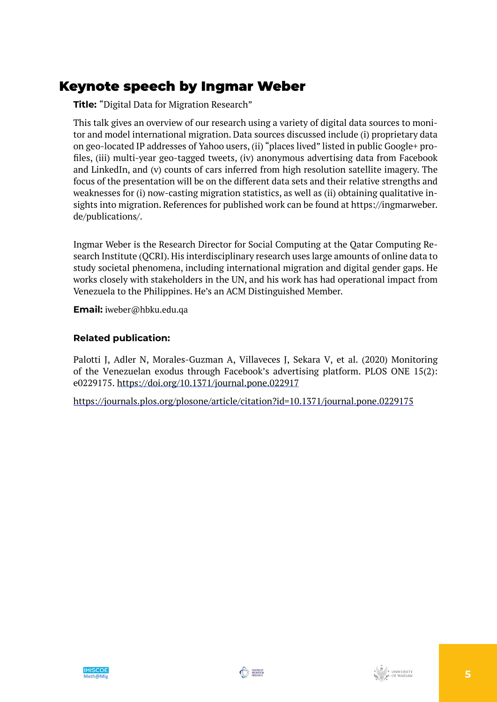## Keynote speech by Ingmar Weber

**Title:** "Digital Data for Migration Research"

This talk gives an overview of our research using a variety of digital data sources to monitor and model international migration. Data sources discussed include (i) proprietary data on geo-located IP addresses of Yahoo users, (ii) "places lived" listed in public Google+ profiles, (iii) multi-year geo-tagged tweets, (iv) anonymous advertising data from Facebook and LinkedIn, and (v) counts of cars inferred from high resolution satellite imagery. The focus of the presentation will be on the different data sets and their relative strengths and weaknesses for (i) now-casting migration statistics, as well as (ii) obtaining qualitative insights into migration. References for published work can be found at https://ingmarweber. de/publications/.

Ingmar Weber is the Research Director for Social Computing at the Qatar Computing Research Institute (QCRI). His interdisciplinary research uses large amounts of online data to study societal phenomena, including international migration and digital gender gaps. He works closely with stakeholders in the UN, and his work has had operational impact from Venezuela to the Philippines. He's an ACM Distinguished Member.

**Email:** iweber@hbku.edu.qa

## **Related publication:**

Palotti J, Adler N, Morales-Guzman A, Villaveces J, Sekara V, et al. (2020) Monitoring of the Venezuelan exodus through Facebook's advertising platform. PLOS ONE 15(2): e0229175. [https://doi.org/10.1371/journal.pone.022917](https://doi.org/10.1371/journal.pone.0229175)

<https://journals.plos.org/plosone/article/citation?id=10.1371/journal.pone.0229175>

![](_page_4_Picture_9.jpeg)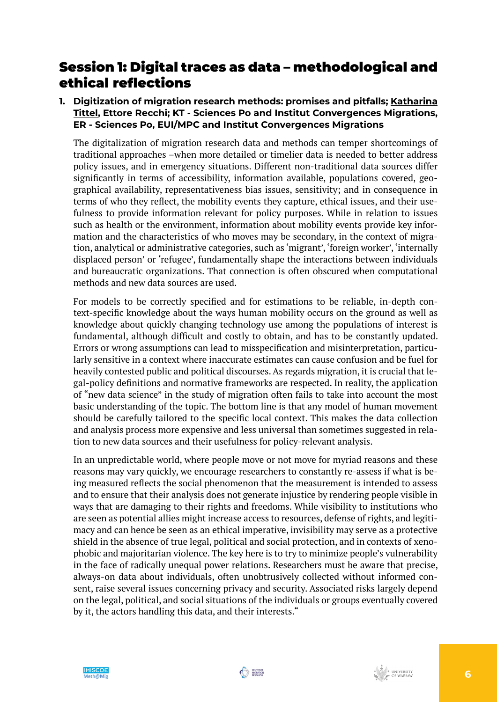## Session 1: Digital traces as data – methodological and ethical reflections

**1. Digitization of migration research methods: promises and pitfalls; Katharina Tittel, Ettore Recchi; KT - Sciences Po and Institut Convergences Migrations, ER - Sciences Po, EUI/MPC and Institut Convergences Migrations**

The digitalization of migration research data and methods can temper shortcomings of traditional approaches –when more detailed or timelier data is needed to better address policy issues, and in emergency situations. Different non-traditional data sources differ significantly in terms of accessibility, information available, populations covered, geographical availability, representativeness bias issues, sensitivity; and in consequence in terms of who they reflect, the mobility events they capture, ethical issues, and their usefulness to provide information relevant for policy purposes. While in relation to issues such as health or the environment, information about mobility events provide key information and the characteristics of who moves may be secondary, in the context of migration, analytical or administrative categories, such as 'migrant', 'foreign worker', 'internally displaced person' or 'refugee', fundamentally shape the interactions between individuals and bureaucratic organizations. That connection is often obscured when computational methods and new data sources are used.

For models to be correctly specified and for estimations to be reliable, in-depth context-specific knowledge about the ways human mobility occurs on the ground as well as knowledge about quickly changing technology use among the populations of interest is fundamental, although difficult and costly to obtain, and has to be constantly updated. Errors or wrong assumptions can lead to misspecification and misinterpretation, particularly sensitive in a context where inaccurate estimates can cause confusion and be fuel for heavily contested public and political discourses. As regards migration, it is crucial that legal-policy definitions and normative frameworks are respected. In reality, the application of "new data science" in the study of migration often fails to take into account the most basic understanding of the topic. The bottom line is that any model of human movement should be carefully tailored to the specific local context. This makes the data collection and analysis process more expensive and less universal than sometimes suggested in relation to new data sources and their usefulness for policy-relevant analysis.

In an unpredictable world, where people move or not move for myriad reasons and these reasons may vary quickly, we encourage researchers to constantly re-assess if what is being measured reflects the social phenomenon that the measurement is intended to assess and to ensure that their analysis does not generate injustice by rendering people visible in ways that are damaging to their rights and freedoms. While visibility to institutions who are seen as potential allies might increase access to resources, defense of rights, and legitimacy and can hence be seen as an ethical imperative, invisibility may serve as a protective shield in the absence of true legal, political and social protection, and in contexts of xenophobic and majoritarian violence. The key here is to try to minimize people's vulnerability in the face of radically unequal power relations. Researchers must be aware that precise, always-on data about individuals, often unobtrusively collected without informed consent, raise several issues concerning privacy and security. Associated risks largely depend on the legal, political, and social situations of the individuals or groups eventually covered by it, the actors handling this data, and their interests."

![](_page_5_Picture_6.jpeg)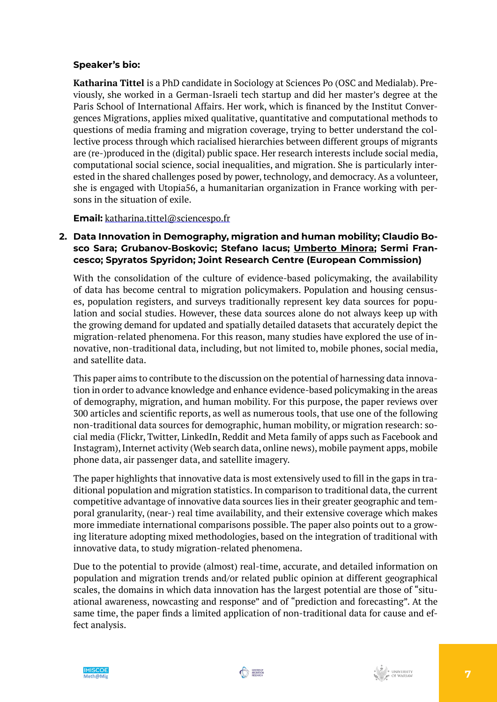## **Speaker's bio:**

**Katharina Tittel** is a PhD candidate in Sociology at Sciences Po (OSC and Medialab). Previously, she worked in a German-Israeli tech startup and did her master's degree at the Paris School of International Affairs. Her work, which is financed by the Institut Convergences Migrations, applies mixed qualitative, quantitative and computational methods to questions of media framing and migration coverage, trying to better understand the collective process through which racialised hierarchies between different groups of migrants are (re-)produced in the (digital) public space. Her research interests include social media, computational social science, social inequalities, and migration. She is particularly interested in the shared challenges posed by power, technology, and democracy. As a volunteer, she is engaged with Utopia56, a humanitarian organization in France working with persons in the situation of exile.

**Email:** [katharina.tittel@sciencespo.fr](mailto:katharina.tittel@sciencespo.fr)

## **2. Data Innovation in Demography, migration and human mobility; Claudio Bosco Sara; Grubanov-Boskovic; Stefano Iacus; Umberto Minora; Sermi Francesco; Spyratos Spyridon; Joint Research Centre (European Commission)**

With the consolidation of the culture of evidence-based policymaking, the availability of data has become central to migration policymakers. Population and housing censuses, population registers, and surveys traditionally represent key data sources for population and social studies. However, these data sources alone do not always keep up with the growing demand for updated and spatially detailed datasets that accurately depict the migration-related phenomena. For this reason, many studies have explored the use of innovative, non-traditional data, including, but not limited to, mobile phones, social media, and satellite data.

This paper aims to contribute to the discussion on the potential of harnessing data innovation in order to advance knowledge and enhance evidence-based policymaking in the areas of demography, migration, and human mobility. For this purpose, the paper reviews over 300 articles and scientific reports, as well as numerous tools, that use one of the following non-traditional data sources for demographic, human mobility, or migration research: social media (Flickr, Twitter, LinkedIn, Reddit and Meta family of apps such as Facebook and Instagram), Internet activity (Web search data, online news), mobile payment apps, mobile phone data, air passenger data, and satellite imagery.

The paper highlights that innovative data is most extensively used to fill in the gaps in traditional population and migration statistics. In comparison to traditional data, the current competitive advantage of innovative data sources lies in their greater geographic and temporal granularity, (near-) real time availability, and their extensive coverage which makes more immediate international comparisons possible. The paper also points out to a growing literature adopting mixed methodologies, based on the integration of traditional with innovative data, to study migration-related phenomena.

Due to the potential to provide (almost) real-time, accurate, and detailed information on population and migration trends and/or related public opinion at different geographical scales, the domains in which data innovation has the largest potential are those of "situational awareness, nowcasting and response" and of "prediction and forecasting". At the same time, the paper finds a limited application of non-traditional data for cause and effect analysis.

![](_page_6_Picture_8.jpeg)

![](_page_6_Picture_9.jpeg)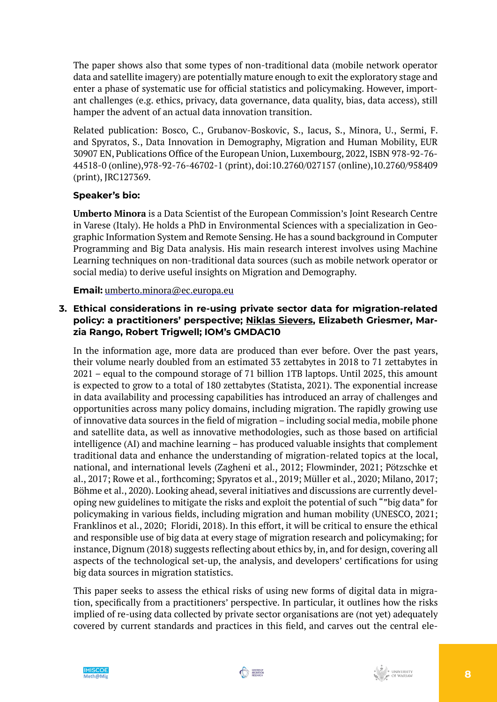The paper shows also that some types of non-traditional data (mobile network operator data and satellite imagery) are potentially mature enough to exit the exploratory stage and enter a phase of systematic use for official statistics and policymaking. However, important challenges (e.g. ethics, privacy, data governance, data quality, bias, data access), still hamper the advent of an actual data innovation transition.

Related publication: Bosco, C., Grubanov-Boskovic, S., Iacus, S., Minora, U., Sermi, F. and Spyratos, S., Data Innovation in Demography, Migration and Human Mobility, EUR 30907 EN, Publications Office of the European Union, Luxembourg, 2022,ISBN 978-92-76- 44518-0 (online),978-92-76-46702-1 (print), doi:10.2760/027157 (online),10.2760/958409 (print), JRC127369.

## **Speaker's bio:**

**Umberto Minora** is a Data Scientist of the European Commission's Joint Research Centre in Varese (Italy). He holds a PhD in Environmental Sciences with a specialization in Geographic Information System and Remote Sensing. He has a sound background in Computer Programming and Big Data analysis. His main research interest involves using Machine Learning techniques on non-traditional data sources (such as mobile network operator or social media) to derive useful insights on Migration and Demography.

**Email:** [umberto.minora@ec.europa.eu](mailto:umberto.minora@ec.europa.eu)

## **3. Ethical considerations in re-using private sector data for migration-related policy: a practitioners' perspective; Niklas Sievers, Elizabeth Griesmer, Marzia Rango, Robert Trigwell; IOM's GMDAC10**

In the information age, more data are produced than ever before. Over the past years, their volume nearly doubled from an estimated 33 zettabytes in 2018 to 71 zettabytes in 2021 – equal to the compound storage of 71 billion 1TB laptops. Until 2025, this amount is expected to grow to a total of 180 zettabytes (Statista, 2021). The exponential increase in data availability and processing capabilities has introduced an array of challenges and opportunities across many policy domains, including migration. The rapidly growing use of innovative data sources in the field of migration – including social media, mobile phone and satellite data, as well as innovative methodologies, such as those based on artificial intelligence (AI) and machine learning – has produced valuable insights that complement traditional data and enhance the understanding of migration-related topics at the local, national, and international levels (Zagheni et al., 2012; Flowminder, 2021; Pötzschke et al., 2017; Rowe et al., forthcoming; Spyratos et al., 2019; Müller et al., 2020; Milano, 2017; Böhme et al., 2020). Looking ahead, several initiatives and discussions are currently developing new guidelines to mitigate the risks and exploit the potential of such ""big data" for policymaking in various fields, including migration and human mobility (UNESCO, 2021; Franklinos et al., 2020; Floridi, 2018). In this effort, it will be critical to ensure the ethical and responsible use of big data at every stage of migration research and policymaking; for instance, Dignum (2018) suggests reflecting about ethics by, in, and for design, covering all aspects of the technological set-up, the analysis, and developers' certifications for using big data sources in migration statistics.

This paper seeks to assess the ethical risks of using new forms of digital data in migration, specifically from a practitioners' perspective. In particular, it outlines how the risks implied of re-using data collected by private sector organisations are (not yet) adequately covered by current standards and practices in this field, and carves out the central ele-

![](_page_7_Picture_9.jpeg)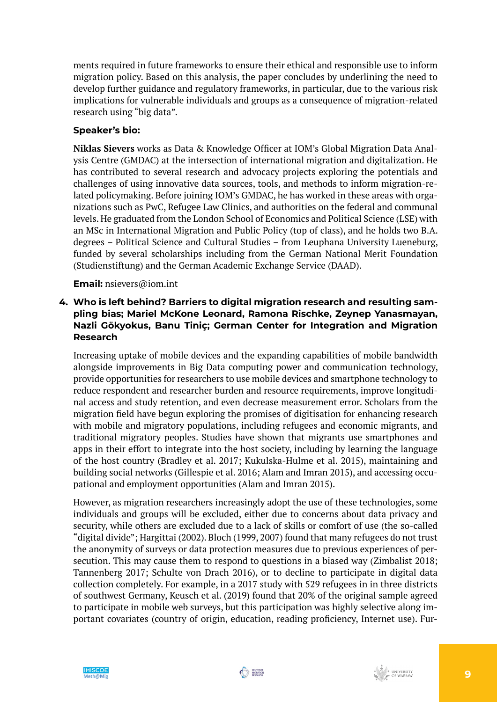ments required in future frameworks to ensure their ethical and responsible use to inform migration policy. Based on this analysis, the paper concludes by underlining the need to develop further guidance and regulatory frameworks, in particular, due to the various risk implications for vulnerable individuals and groups as a consequence of migration-related research using "big data".

## **Speaker's bio:**

**Niklas Sievers** works as Data & Knowledge Officer at IOM's Global Migration Data Analysis Centre (GMDAC) at the intersection of international migration and digitalization. He has contributed to several research and advocacy projects exploring the potentials and challenges of using innovative data sources, tools, and methods to inform migration-related policymaking. Before joining IOM's GMDAC, he has worked in these areas with organizations such as PwC, Refugee Law Clinics, and authorities on the federal and communal levels. He graduated from the London School of Economics and Political Science (LSE) with an MSc in International Migration and Public Policy (top of class), and he holds two B.A. degrees – Political Science and Cultural Studies – from Leuphana University Lueneburg, funded by several scholarships including from the German National Merit Foundation (Studienstiftung) and the German Academic Exchange Service (DAAD).

#### **Email:** nsievers@iom.int

## **4. Who is left behind? Barriers to digital migration research and resulting sampling bias; Mariel McKone Leonard, Ramona Rischke, Zeynep Yanasmayan, Nazli Gökyokus, Banu Tiniç; German Center for Integration and Migration Research**

Increasing uptake of mobile devices and the expanding capabilities of mobile bandwidth alongside improvements in Big Data computing power and communication technology, provide opportunities for researchers to use mobile devices and smartphone technology to reduce respondent and researcher burden and resource requirements, improve longitudinal access and study retention, and even decrease measurement error. Scholars from the migration field have begun exploring the promises of digitisation for enhancing research with mobile and migratory populations, including refugees and economic migrants, and traditional migratory peoples. Studies have shown that migrants use smartphones and apps in their effort to integrate into the host society, including by learning the language of the host country (Bradley et al. 2017; Kukulska-Hulme et al. 2015), maintaining and building social networks (Gillespie et al. 2016; Alam and Imran 2015), and accessing occupational and employment opportunities (Alam and Imran 2015).

However, as migration researchers increasingly adopt the use of these technologies, some individuals and groups will be excluded, either due to concerns about data privacy and security, while others are excluded due to a lack of skills or comfort of use (the so-called "digital divide"; Hargittai (2002). Bloch (1999, 2007) found that many refugees do not trust the anonymity of surveys or data protection measures due to previous experiences of persecution. This may cause them to respond to questions in a biased way (Zimbalist 2018; Tannenberg 2017; Schulte von Drach 2016), or to decline to participate in digital data collection completely. For example, in a 2017 study with 529 refugees in in three districts of southwest Germany, Keusch et al. (2019) found that 20% of the original sample agreed to participate in mobile web surveys, but this participation was highly selective along important covariates (country of origin, education, reading proficiency, Internet use). Fur-

![](_page_8_Picture_8.jpeg)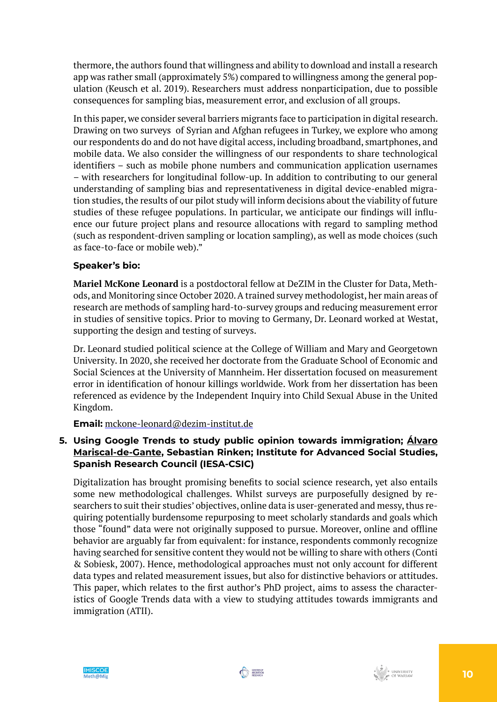thermore, the authors found that willingness and ability to download and install a research app was rather small (approximately 5%) compared to willingness among the general population (Keusch et al. 2019). Researchers must address nonparticipation, due to possible consequences for sampling bias, measurement error, and exclusion of all groups.

In this paper, we consider several barriers migrants face to participation in digital research. Drawing on two surveys of Syrian and Afghan refugees in Turkey, we explore who among our respondents do and do not have digital access, including broadband, smartphones, and mobile data. We also consider the willingness of our respondents to share technological identifiers – such as mobile phone numbers and communication application usernames – with researchers for longitudinal follow-up. In addition to contributing to our general understanding of sampling bias and representativeness in digital device-enabled migration studies, the results of our pilot study will inform decisions about the viability of future studies of these refugee populations. In particular, we anticipate our findings will influence our future project plans and resource allocations with regard to sampling method (such as respondent-driven sampling or location sampling), as well as mode choices (such as face-to-face or mobile web)."

## **Speaker's bio:**

**Mariel McKone Leonard** is a postdoctoral fellow at DeZIM in the Cluster for Data, Methods, and Monitoring since October 2020. A trained survey methodologist, her main areas of research are methods of sampling hard-to-survey groups and reducing measurement error in studies of sensitive topics. Prior to moving to Germany, Dr. Leonard worked at Westat, supporting the design and testing of surveys.

Dr. Leonard studied political science at the College of William and Mary and Georgetown University. In 2020, she received her doctorate from the Graduate School of Economic and Social Sciences at the University of Mannheim. Her dissertation focused on measurement error in identification of honour killings worldwide. Work from her dissertation has been referenced as evidence by the Independent Inquiry into Child Sexual Abuse in the United Kingdom.

**Email:** [mckone-leonard@dezim-institut.de](mailto:mckone-leonard@dezim-institut.de)

## **5. Using Google Trends to study public opinion towards immigration; Álvaro Mariscal-de-Gante, Sebastian Rinken; Institute for Advanced Social Studies, Spanish Research Council (IESA-CSIC)**

Digitalization has brought promising benefits to social science research, yet also entails some new methodological challenges. Whilst surveys are purposefully designed by researchers to suit their studies' objectives, online data is user-generated and messy, thus requiring potentially burdensome repurposing to meet scholarly standards and goals which those "found" data were not originally supposed to pursue. Moreover, online and offline behavior are arguably far from equivalent: for instance, respondents commonly recognize having searched for sensitive content they would not be willing to share with others (Conti & Sobiesk, 2007). Hence, methodological approaches must not only account for different data types and related measurement issues, but also for distinctive behaviors or attitudes. This paper, which relates to the first author's PhD project, aims to assess the characteristics of Google Trends data with a view to studying attitudes towards immigrants and immigration (ATII).

![](_page_9_Picture_8.jpeg)

![](_page_9_Picture_9.jpeg)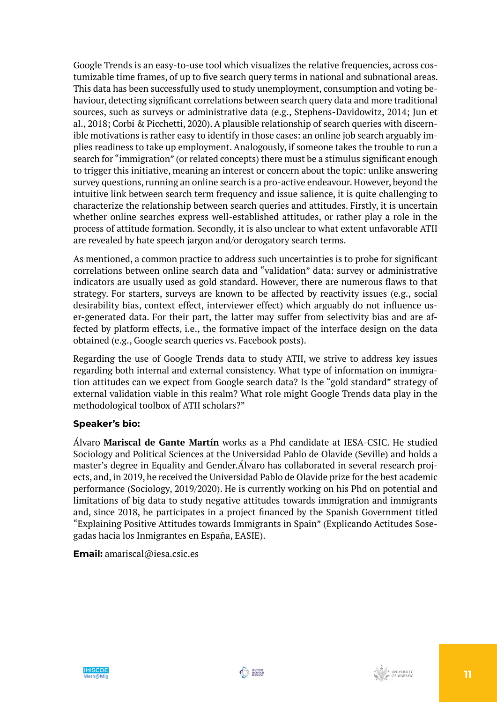Google Trends is an easy-to-use tool which visualizes the relative frequencies, across costumizable time frames, of up to five search query terms in national and subnational areas. This data has been successfully used to study unemployment, consumption and voting behaviour, detecting significant correlations between search query data and more traditional sources, such as surveys or administrative data (e.g., Stephens-Davidowitz, 2014; Jun et al., 2018; Corbi & Picchetti, 2020).A plausible relationship of search queries with discernible motivations is rather easy to identify in those cases: an online job search arguably implies readiness to take up employment. Analogously, if someone takes the trouble to run a search for "immigration" (or related concepts) there must be a stimulus significant enough to trigger this initiative, meaning an interest or concern about the topic: unlike answering survey questions, running an online search is a pro-active endeavour. However, beyond the intuitive link between search term frequency and issue salience, it is quite challenging to characterize the relationship between search queries and attitudes. Firstly, it is uncertain whether online searches express well-established attitudes, or rather play a role in the process of attitude formation. Secondly, it is also unclear to what extent unfavorable ATII are revealed by hate speech jargon and/or derogatory search terms.

As mentioned, a common practice to address such uncertainties is to probe for significant correlations between online search data and "validation" data: survey or administrative indicators are usually used as gold standard. However, there are numerous flaws to that strategy. For starters, surveys are known to be affected by reactivity issues (e.g., social desirability bias, context effect, interviewer effect) which arguably do not influence user-generated data. For their part, the latter may suffer from selectivity bias and are affected by platform effects, i.e., the formative impact of the interface design on the data obtained (e.g., Google search queries vs. Facebook posts).

Regarding the use of Google Trends data to study ATII, we strive to address key issues regarding both internal and external consistency. What type of information on immigration attitudes can we expect from Google search data? Is the "gold standard" strategy of external validation viable in this realm? What role might Google Trends data play in the methodological toolbox of ATII scholars?"

## **Speaker's bio:**

Álvaro **Mariscal de Gante Martín** works as a Phd candidate at IESA-CSIC. He studied Sociology and Political Sciences at the Universidad Pablo de Olavide (Seville) and holds a master's degree in Equality and Gender.Álvaro has collaborated in several research projects, and, in 2019, he received the Universidad Pablo de Olavide prize for the best academic performance (Sociology, 2019/2020). He is currently working on his Phd on potential and limitations of big data to study negative attitudes towards immigration and immigrants and, since 2018, he participates in a project financed by the Spanish Government titled "Explaining Positive Attitudes towards Immigrants in Spain" (Explicando Actitudes Sosegadas hacia los Inmigrantes en España, EASIE).

#### **Email:** amariscal@iesa.csic.es

![](_page_10_Picture_7.jpeg)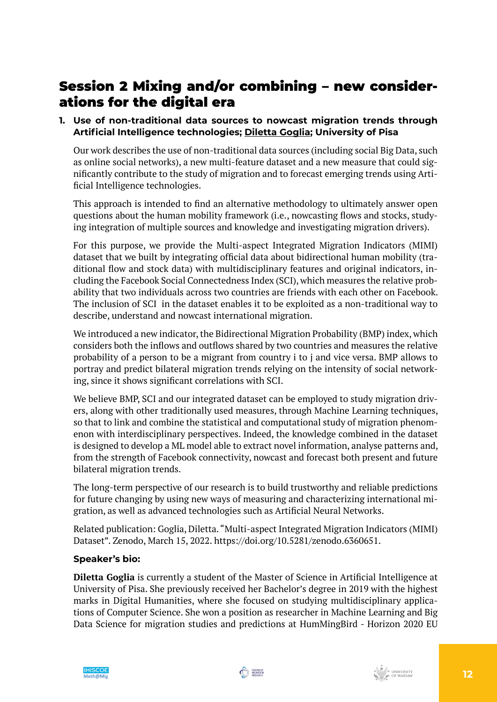## Session 2 Mixing and/or combining – new considerations for the digital era

## **1. Use of non-traditional data sources to nowcast migration trends through Artificial Intelligence technologies; Diletta Goglia; University of Pisa**

Our work describes the use of non-traditional data sources (including social Big Data, such as online social networks), a new multi-feature dataset and a new measure that could significantly contribute to the study of migration and to forecast emerging trends using Artificial Intelligence technologies.

This approach is intended to find an alternative methodology to ultimately answer open questions about the human mobility framework (i.e., nowcasting flows and stocks, studying integration of multiple sources and knowledge and investigating migration drivers).

For this purpose, we provide the Multi-aspect Integrated Migration Indicators (MIMI) dataset that we built by integrating official data about bidirectional human mobility (traditional flow and stock data) with multidisciplinary features and original indicators, including the Facebook Social Connectedness Index (SCI), which measures the relative probability that two individuals across two countries are friends with each other on Facebook. The inclusion of SCI in the dataset enables it to be exploited as a non-traditional way to describe, understand and nowcast international migration.

We introduced a new indicator, the Bidirectional Migration Probability (BMP) index, which considers both the inflows and outflows shared by two countries and measures the relative probability of a person to be a migrant from country i to j and vice versa. BMP allows to portray and predict bilateral migration trends relying on the intensity of social networking, since it shows significant correlations with SCI.

We believe BMP, SCI and our integrated dataset can be employed to study migration drivers, along with other traditionally used measures, through Machine Learning techniques, so that to link and combine the statistical and computational study of migration phenomenon with interdisciplinary perspectives. Indeed, the knowledge combined in the dataset is designed to develop a ML model able to extract novel information, analyse patterns and, from the strength of Facebook connectivity, nowcast and forecast both present and future bilateral migration trends.

The long-term perspective of our research is to build trustworthy and reliable predictions for future changing by using new ways of measuring and characterizing international migration, as well as advanced technologies such as Artificial Neural Networks.

Related publication: Goglia, Diletta. "Multi-aspect Integrated Migration Indicators (MIMI) Dataset". Zenodo, March 15, 2022. https://doi.org/10.5281/zenodo.6360651.

#### **Speaker's bio:**

**Diletta Goglia** is currently a student of the Master of Science in Artificial Intelligence at University of Pisa. She previously received her Bachelor's degree in 2019 with the highest marks in Digital Humanities, where she focused on studying multidisciplinary applications of Computer Science. She won a position as researcher in Machine Learning and Big Data Science for migration studies and predictions at HumMingBird - Horizon 2020 EU

![](_page_11_Picture_12.jpeg)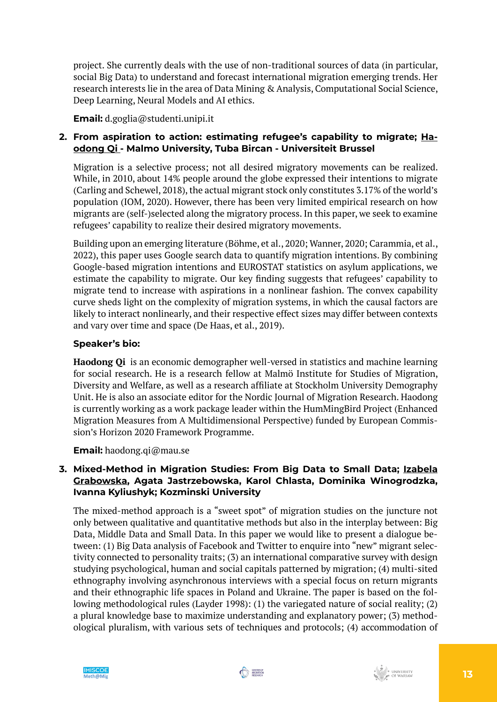project. She currently deals with the use of non-traditional sources of data (in particular, social Big Data) to understand and forecast international migration emerging trends. Her research interests lie in the area of Data Mining & Analysis, Computational Social Science, Deep Learning, Neural Models and AI ethics.

**Email:** d.goglia@studenti.unipi.it

## **2. From aspiration to action: estimating refugee's capability to migrate; Haodong Qi - Malmo University, Tuba Bircan - Universiteit Brussel**

Migration is a selective process; not all desired migratory movements can be realized. While, in 2010, about 14% people around the globe expressed their intentions to migrate (Carling and Schewel, 2018), the actual migrant stock only constitutes 3.17% of the world's population (IOM, 2020). However, there has been very limited empirical research on how migrants are (self-)selected along the migratory process. In this paper, we seek to examine refugees' capability to realize their desired migratory movements.

Building upon an emerging literature (Böhme, et al., 2020; Wanner, 2020; Carammia, et al., 2022), this paper uses Google search data to quantify migration intentions. By combining Google-based migration intentions and EUROSTAT statistics on asylum applications, we estimate the capability to migrate. Our key finding suggests that refugees' capability to migrate tend to increase with aspirations in a nonlinear fashion. The convex capability curve sheds light on the complexity of migration systems, in which the causal factors are likely to interact nonlinearly, and their respective effect sizes may differ between contexts and vary over time and space (De Haas, et al., 2019).

## **Speaker's bio:**

**Haodong Qi** is an economic demographer well-versed in statistics and machine learning for social research. He is a research fellow at Malmö Institute for Studies of Migration, Diversity and Welfare, as well as a research affiliate at Stockholm University Demography Unit. He is also an associate editor for the Nordic Journal of Migration Research. Haodong is currently working as a work package leader within the HumMingBird Project (Enhanced Migration Measures from A Multidimensional Perspective) funded by European Commission's Horizon 2020 Framework Programme.

**Email:** haodong.qi@mau.se

## **3. Mixed-Method in Migration Studies: From Big Data to Small Data; Izabela Grabowska, Agata Jastrzebowska, Karol Chlasta, Dominika Winogrodzka, Ivanna Kyliushyk; Kozminski University**

The mixed-method approach is a "sweet spot" of migration studies on the juncture not only between qualitative and quantitative methods but also in the interplay between: Big Data, Middle Data and Small Data. In this paper we would like to present a dialogue between: (1) Big Data analysis of Facebook and Twitter to enquire into "new" migrant selectivity connected to personality traits; (3) an international comparative survey with design studying psychological, human and social capitals patterned by migration; (4) multi-sited ethnography involving asynchronous interviews with a special focus on return migrants and their ethnographic life spaces in Poland and Ukraine. The paper is based on the following methodological rules (Layder 1998): (1) the variegated nature of social reality; (2) a plural knowledge base to maximize understanding and explanatory power; (3) methodological pluralism, with various sets of techniques and protocols; (4) accommodation of

![](_page_12_Picture_10.jpeg)

![](_page_12_Picture_11.jpeg)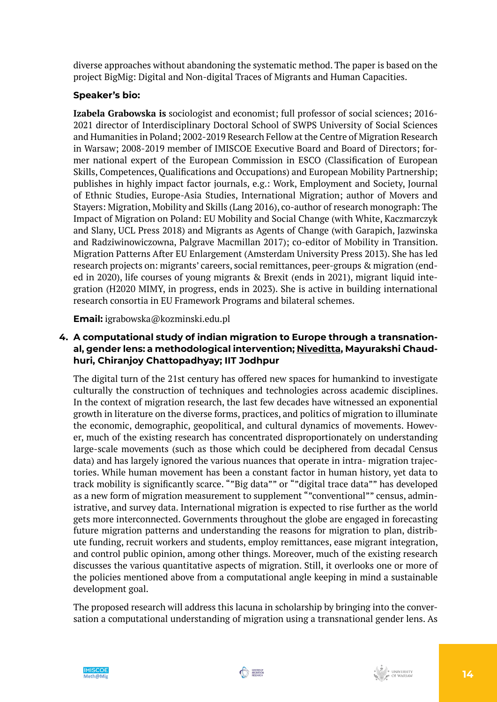diverse approaches without abandoning the systematic method. The paper is based on the project BigMig: Digital and Non-digital Traces of Migrants and Human Capacities.

## **Speaker's bio:**

**Izabela Grabowska is** sociologist and economist; full professor of social sciences; 2016- 2021 director of Interdisciplinary Doctoral School of SWPS University of Social Sciences and Humanities in Poland; 2002-2019 Research Fellow at the Centre of Migration Research in Warsaw; 2008-2019 member of IMISCOE Executive Board and Board of Directors; former national expert of the European Commission in ESCO (Classification of European Skills, Competences, Qualifications and Occupations) and European Mobility Partnership; publishes in highly impact factor journals, e.g.: Work, Employment and Society, Journal of Ethnic Studies, Europe-Asia Studies, International Migration; author of Movers and Stayers: Migration, Mobility and Skills (Lang 2016), co-author of research monograph: The Impact of Migration on Poland: EU Mobility and Social Change (with White, Kaczmarczyk and Slany, UCL Press 2018) and Migrants as Agents of Change (with Garapich, Jazwinska and Radziwinowiczowna, Palgrave Macmillan 2017); co-editor of Mobility in Transition. Migration Patterns After EU Enlargement (Amsterdam University Press 2013). She has led research projects on: migrants' careers, social remittances, peer-groups & migration (ended in 2020), life courses of young migrants & Brexit (ends in 2021), migrant liquid integration (H2020 MIMY, in progress, ends in 2023). She is active in building international research consortia in EU Framework Programs and bilateral schemes.

**Email:** igrabowska@kozminski.edu.pl

## **4. A computational study of indian migration to Europe through a transnational, gender lens: a methodological intervention; Niveditta, Mayurakshi Chaudhuri, Chiranjoy Chattopadhyay; IIT Jodhpur**

The digital turn of the 21st century has offered new spaces for humankind to investigate culturally the construction of techniques and technologies across academic disciplines. In the context of migration research, the last few decades have witnessed an exponential growth in literature on the diverse forms, practices, and politics of migration to illuminate the economic, demographic, geopolitical, and cultural dynamics of movements. However, much of the existing research has concentrated disproportionately on understanding large-scale movements (such as those which could be deciphered from decadal Census data) and has largely ignored the various nuances that operate in intra- migration trajectories. While human movement has been a constant factor in human history, yet data to track mobility is significantly scarce. ""Big data"" or ""digital trace data"" has developed as a new form of migration measurement to supplement ""conventional"" census, administrative, and survey data. International migration is expected to rise further as the world gets more interconnected. Governments throughout the globe are engaged in forecasting future migration patterns and understanding the reasons for migration to plan, distribute funding, recruit workers and students, employ remittances, ease migrant integration, and control public opinion, among other things. Moreover, much of the existing research discusses the various quantitative aspects of migration. Still, it overlooks one or more of the policies mentioned above from a computational angle keeping in mind a sustainable development goal.

The proposed research will address this lacuna in scholarship by bringing into the conversation a computational understanding of migration using a transnational gender lens. As

![](_page_13_Picture_7.jpeg)

![](_page_13_Picture_8.jpeg)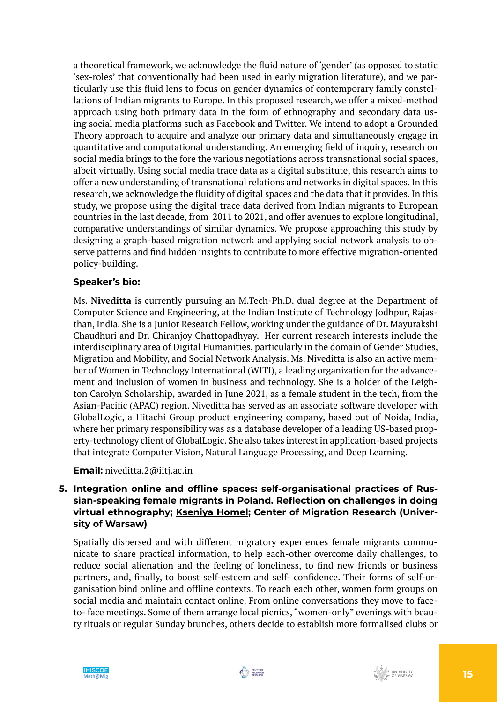a theoretical framework, we acknowledge the fluid nature of 'gender' (as opposed to static 'sex-roles' that conventionally had been used in early migration literature), and we particularly use this fluid lens to focus on gender dynamics of contemporary family constellations of Indian migrants to Europe. In this proposed research, we offer a mixed-method approach using both primary data in the form of ethnography and secondary data using social media platforms such as Facebook and Twitter. We intend to adopt a Grounded Theory approach to acquire and analyze our primary data and simultaneously engage in quantitative and computational understanding. An emerging field of inquiry, research on social media brings to the fore the various negotiations across transnational social spaces, albeit virtually. Using social media trace data as a digital substitute, this research aims to offer a new understanding of transnational relations and networks in digital spaces. In this research, we acknowledge the fluidity of digital spaces and the data that it provides. In this study, we propose using the digital trace data derived from Indian migrants to European countries in the last decade, from 2011 to 2021, and offer avenues to explore longitudinal, comparative understandings of similar dynamics. We propose approaching this study by designing a graph-based migration network and applying social network analysis to observe patterns and find hidden insights to contribute to more effective migration-oriented policy-building.

## **Speaker's bio:**

Ms. **Niveditta** is currently pursuing an M.Tech-Ph.D. dual degree at the Department of Computer Science and Engineering, at the Indian Institute of Technology Jodhpur, Rajasthan, India. She is a Junior Research Fellow, working under the guidance of Dr. Mayurakshi Chaudhuri and Dr. Chiranjoy Chattopadhyay. Her current research interests include the interdisciplinary area of Digital Humanities, particularly in the domain of Gender Studies, Migration and Mobility, and Social Network Analysis. Ms. Niveditta is also an active member of Women in Technology International (WITI), a leading organization for the advancement and inclusion of women in business and technology. She is a holder of the Leighton Carolyn Scholarship, awarded in June 2021, as a female student in the tech, from the Asian-Pacific (APAC) region. Niveditta has served as an associate software developer with GlobalLogic, a Hitachi Group product engineering company, based out of Noida, India, where her primary responsibility was as a database developer of a leading US-based property-technology client of GlobalLogic. She also takes interest in application-based projects that integrate Computer Vision, Natural Language Processing, and Deep Learning.

#### **Email:** niveditta.2@iitj.ac.in

## **5. Integration online and offline spaces: self-organisational practices of Russian-speaking female migrants in Poland. Reflection on challenges in doing virtual ethnography; Kseniya Homel; Center of Migration Research (University of Warsaw)**

Spatially dispersed and with different migratory experiences female migrants communicate to share practical information, to help each-other overcome daily challenges, to reduce social alienation and the feeling of loneliness, to find new friends or business partners, and, finally, to boost self-esteem and self- confidence. Their forms of self-organisation bind online and offline contexts. To reach each other, women form groups on social media and maintain contact online. From online conversations they move to faceto- face meetings. Some of them arrange local picnics, "women-only" evenings with beauty rituals or regular Sunday brunches, others decide to establish more formalised clubs or

![](_page_14_Picture_7.jpeg)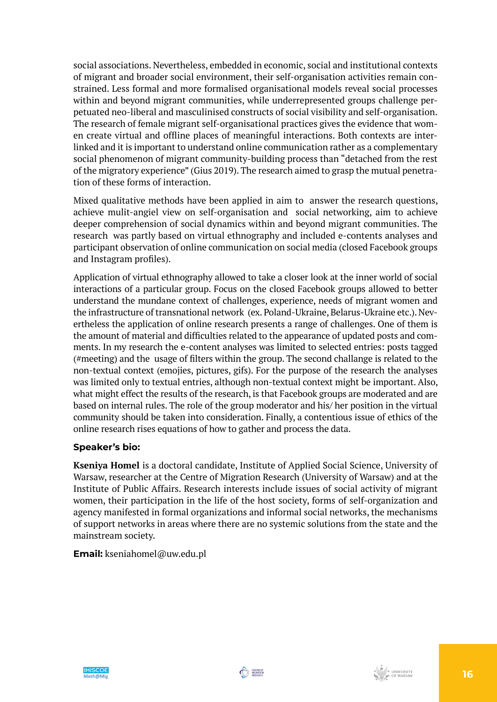social associations. Nevertheless, embedded in economic, social and institutional contexts of migrant and broader social environment, their self-organisation activities remain constrained. Less formal and more formalised organisational models reveal social processes within and beyond migrant communities, while underrepresented groups challenge perpetuated neo-liberal and masculinised constructs of social visibility and self-organisation. The research of female migrant self-organisational practices gives the evidence that women create virtual and offline places of meaningful interactions. Both contexts are interlinked and it is important to understand online communication rather as a complementary social phenomenon of migrant community-building process than "detached from the rest of the migratory experience" (Gius 2019). The research aimed to grasp the mutual penetration of these forms of interaction.

Mixed qualitative methods have been applied in aim to answer the research questions, achieve mulit-angiel view on self-organisation and social networking, aim to achieve deeper comprehension of social dynamics within and beyond migrant communities. The research was partly based on virtual ethnography and included e-contents analyses and participant observation of online communication on social media (closed Facebook groups and Instagram profiles).

Application of virtual ethnography allowed to take a closer look at the inner world of social interactions of a particular group. Focus on the closed Facebook groups allowed to better understand the mundane context of challenges, experience, needs of migrant women and the infrastructure of transnational network (ex. Poland-Ukraine, Belarus-Ukraine etc.). Nevertheless the application of online research presents a range of challenges. One of them is the amount of material and difficulties related to the appearance of updated posts and comments. In my research the e-content analyses was limited to selected entries: posts tagged (#meeting) and the usage of filters within the group. The second challange is related to the non-textual context (emojies, pictures, gifs). For the purpose of the research the analyses was limited only to textual entries, although non-textual context might be important. Also, what might effect the results of the research, is that Facebook groups are moderated and are based on internal rules. The role of the group moderator and his/ her position in the virtual community should be taken into consideration. Finally, a contentious issue of ethics of the online research rises equations of how to gather and process the data.

#### **Speaker's bio:**

**Kseniya Homel** is a doctoral candidate, Institute of Applied Social Science, University of Warsaw, researcher at the Centre of Migration Research (University of Warsaw) and at the Institute of Public Affairs. Research interests include issues of social activity of migrant women, their participation in the life of the host society, forms of self-organization and agency manifested in formal organizations and informal social networks, the mechanisms of support networks in areas where there are no systemic solutions from the state and the mainstream society.

#### **Email:** kseniahomel@uw.edu.pl

![](_page_15_Picture_7.jpeg)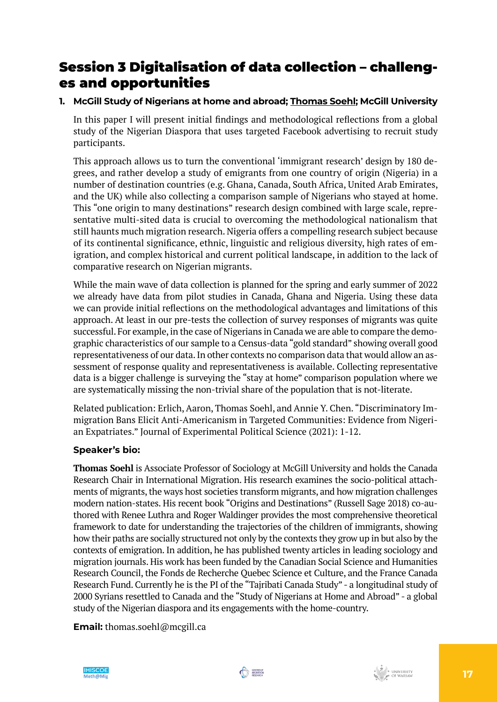## Session 3 Digitalisation of data collection – challenges and opportunities

## **1. McGill Study of Nigerians at home and abroad; Thomas Soehl; McGill University**

In this paper I will present initial findings and methodological reflections from a global study of the Nigerian Diaspora that uses targeted Facebook advertising to recruit study participants.

This approach allows us to turn the conventional 'immigrant research' design by 180 degrees, and rather develop a study of emigrants from one country of origin (Nigeria) in a number of destination countries (e.g. Ghana, Canada, South Africa, United Arab Emirates, and the UK) while also collecting a comparison sample of Nigerians who stayed at home. This "one origin to many destinations" research design combined with large scale, representative multi-sited data is crucial to overcoming the methodological nationalism that still haunts much migration research. Nigeria offers a compelling research subject because of its continental significance, ethnic, linguistic and religious diversity, high rates of emigration, and complex historical and current political landscape, in addition to the lack of comparative research on Nigerian migrants.

While the main wave of data collection is planned for the spring and early summer of 2022 we already have data from pilot studies in Canada, Ghana and Nigeria. Using these data we can provide initial reflections on the methodological advantages and limitations of this approach. At least in our pre-tests the collection of survey responses of migrants was quite successful. For example, in the case of Nigerians in Canada we are able to compare the demographic characteristics of our sample to a Census-data "gold standard" showing overall good representativeness of our data. In other contexts no comparison data that would allow an assessment of response quality and representativeness is available. Collecting representative data is a bigger challenge is surveying the "stay at home" comparison population where we are systematically missing the non-trivial share of the population that is not-literate.

Related publication: Erlich, Aaron, Thomas Soehl, and Annie Y. Chen. "Discriminatory Immigration Bans Elicit Anti-Americanism in Targeted Communities: Evidence from Nigerian Expatriates." Journal of Experimental Political Science (2021): 1-12.

## **Speaker's bio:**

**Thomas Soehl** is Associate Professor of Sociology at McGill University and holds the Canada Research Chair in International Migration. His research examines the socio-political attachments of migrants, the ways host societies transform migrants, and how migration challenges modern nation-states. His recent book "Origins and Destinations" (Russell Sage 2018) co-authored with Renee Luthra and Roger Waldinger provides the most comprehensive theoretical framework to date for understanding the trajectories of the children of immigrants, showing how their paths are socially structured not only by the contexts they grow up in but also by the contexts of emigration. In addition, he has published twenty articles in leading sociology and migration journals. His work has been funded by the Canadian Social Science and Humanities Research Council, the Fonds de Recherche Quebec Science et Culture, and the France Canada Research Fund. Currently he is the PI of the "Tajribati Canada Study" - a longitudinal study of 2000 Syrians resettled to Canada and the "Study of Nigerians at Home and Abroad" - a global study of the Nigerian diaspora and its engagements with the home-country.

**Email:** thomas.soehl@mcgill.ca

![](_page_16_Picture_9.jpeg)

![](_page_16_Picture_10.jpeg)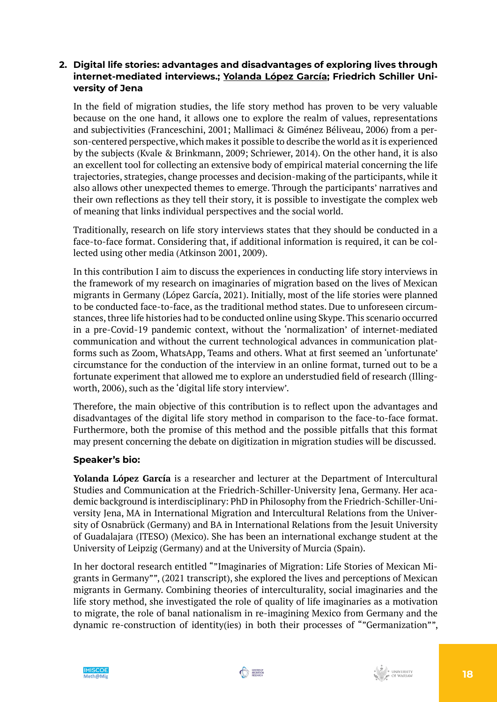## **2. Digital life stories: advantages and disadvantages of exploring lives through internet-mediated interviews.; Yolanda López García; Friedrich Schiller University of Jena**

In the field of migration studies, the life story method has proven to be very valuable because on the one hand, it allows one to explore the realm of values, representations and subjectivities (Franceschini, 2001; Mallimaci & Giménez Béliveau, 2006) from a person-centered perspective, which makes it possible to describe the world as it is experienced by the subjects (Kvale & Brinkmann, 2009; Schriewer, 2014). On the other hand, it is also an excellent tool for collecting an extensive body of empirical material concerning the life trajectories, strategies, change processes and decision-making of the participants, while it also allows other unexpected themes to emerge. Through the participants' narratives and their own reflections as they tell their story, it is possible to investigate the complex web of meaning that links individual perspectives and the social world.

Traditionally, research on life story interviews states that they should be conducted in a face-to-face format. Considering that, if additional information is required, it can be collected using other media (Atkinson 2001, 2009).

In this contribution I aim to discuss the experiences in conducting life story interviews in the framework of my research on imaginaries of migration based on the lives of Mexican migrants in Germany (López García, 2021). Initially, most of the life stories were planned to be conducted face-to-face, as the traditional method states. Due to unforeseen circumstances, three life histories had to be conducted online using Skype. This scenario occurred in a pre-Covid-19 pandemic context, without the 'normalization' of internet-mediated communication and without the current technological advances in communication platforms such as Zoom, WhatsApp, Teams and others. What at first seemed an 'unfortunate' circumstance for the conduction of the interview in an online format, turned out to be a fortunate experiment that allowed me to explore an understudied field of research (Illingworth, 2006), such as the 'digital life story interview'.

Therefore, the main objective of this contribution is to reflect upon the advantages and disadvantages of the digital life story method in comparison to the face-to-face format. Furthermore, both the promise of this method and the possible pitfalls that this format may present concerning the debate on digitization in migration studies will be discussed.

## **Speaker's bio:**

**Yolanda López García** is a researcher and lecturer at the Department of Intercultural Studies and Communication at the Friedrich-Schiller-University Jena, Germany. Her academic background is interdisciplinary: PhD in Philosophy from the Friedrich-Schiller-University Jena, MA in International Migration and Intercultural Relations from the University of Osnabrück (Germany) and BA in International Relations from the Jesuit University of Guadalajara (ITESO) (Mexico). She has been an international exchange student at the University of Leipzig (Germany) and at the University of Murcia (Spain).

In her doctoral research entitled ""Imaginaries of Migration: Life Stories of Mexican Migrants in Germany"", (2021 transcript), she explored the lives and perceptions of Mexican migrants in Germany. Combining theories of interculturality, social imaginaries and the life story method, she investigated the role of quality of life imaginaries as a motivation to migrate, the role of banal nationalism in re-imagining Mexico from Germany and the dynamic re-construction of identity(ies) in both their processes of ""Germanization"",

![](_page_17_Picture_9.jpeg)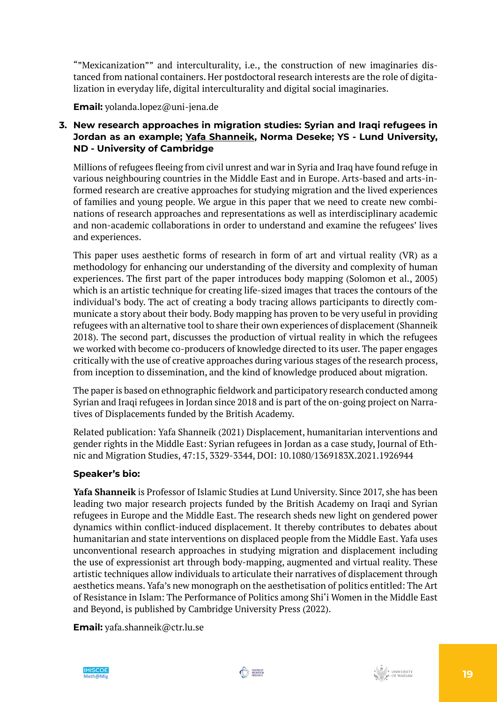""Mexicanization"" and interculturality, i.e., the construction of new imaginaries distanced from national containers. Her postdoctoral research interests are the role of digitalization in everyday life, digital interculturality and digital social imaginaries.

**Email:** yolanda.lopez@uni-jena.de

## **3. New research approaches in migration studies: Syrian and Iraqi refugees in Jordan as an example; Yafa Shanneik, Norma Deseke; YS - Lund University, ND - University of Cambridge**

Millions of refugees fleeing from civil unrest and war in Syria and Iraq have found refuge in various neighbouring countries in the Middle East and in Europe. Arts-based and arts-informed research are creative approaches for studying migration and the lived experiences of families and young people. We argue in this paper that we need to create new combinations of research approaches and representations as well as interdisciplinary academic and non-academic collaborations in order to understand and examine the refugees' lives and experiences.

This paper uses aesthetic forms of research in form of art and virtual reality (VR) as a methodology for enhancing our understanding of the diversity and complexity of human experiences. The first part of the paper introduces body mapping (Solomon et al., 2005) which is an artistic technique for creating life-sized images that traces the contours of the individual's body. The act of creating a body tracing allows participants to directly communicate a story about their body. Body mapping has proven to be very useful in providing refugees with an alternative tool to share their own experiences of displacement (Shanneik 2018). The second part, discusses the production of virtual reality in which the refugees we worked with become co-producers of knowledge directed to its user. The paper engages critically with the use of creative approaches during various stages of the research process, from inception to dissemination, and the kind of knowledge produced about migration.

The paper is based on ethnographic fieldwork and participatory research conducted among Syrian and Iraqi refugees in Jordan since 2018 and is part of the on-going project on Narratives of Displacements funded by the British Academy.

Related publication: Yafa Shanneik (2021) Displacement, humanitarian interventions and gender rights in the Middle East: Syrian refugees in Jordan as a case study, Journal of Ethnic and Migration Studies, 47:15, 3329-3344, DOI: 10.1080/1369183X.2021.1926944

## **Speaker's bio:**

**Yafa Shanneik** is Professor of Islamic Studies at Lund University. Since 2017, she has been leading two major research projects funded by the British Academy on Iraqi and Syrian refugees in Europe and the Middle East. The research sheds new light on gendered power dynamics within conflict-induced displacement. It thereby contributes to debates about humanitarian and state interventions on displaced people from the Middle East. Yafa uses unconventional research approaches in studying migration and displacement including the use of expressionist art through body-mapping, augmented and virtual reality. These artistic techniques allow individuals to articulate their narratives of displacement through aesthetics means. Yafa's new monograph on the aesthetisation of politics entitled: The Art of Resistance in Islam: The Performance of Politics among Shi'i Women in the Middle East and Beyond, is published by Cambridge University Press (2022).

**Email:** yafa.shanneik@ctr.lu.se

![](_page_18_Picture_10.jpeg)

![](_page_18_Picture_11.jpeg)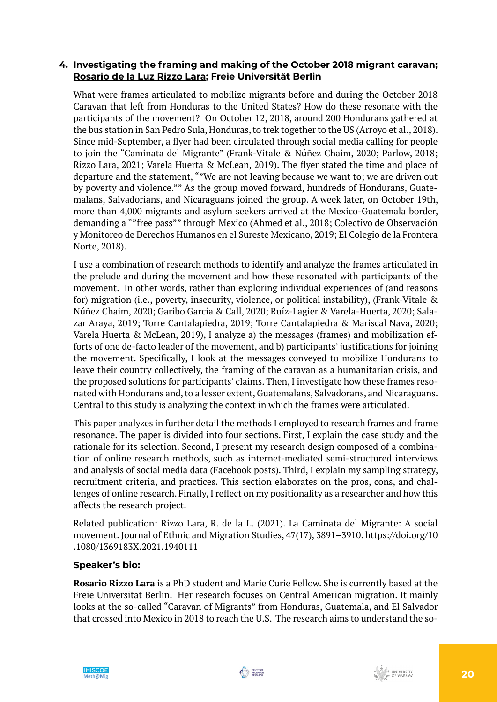### **4. Investigating the framing and making of the October 2018 migrant caravan; Rosario de la Luz Rizzo Lara; Freie Universität Berlin**

What were frames articulated to mobilize migrants before and during the October 2018 Caravan that left from Honduras to the United States? How do these resonate with the participants of the movement? On October 12, 2018, around 200 Hondurans gathered at the bus station in San Pedro Sula, Honduras, to trek together to the US (Arroyo et al., 2018). Since mid-September, a flyer had been circulated through social media calling for people to join the "Caminata del Migrante" (Frank-Vitale & Núñez Chaim, 2020; Parlow, 2018; Rizzo Lara, 2021; Varela Huerta & McLean, 2019). The flyer stated the time and place of departure and the statement, ""We are not leaving because we want to; we are driven out by poverty and violence."" As the group moved forward, hundreds of Hondurans, Guatemalans, Salvadorians, and Nicaraguans joined the group. A week later, on October 19th, more than 4,000 migrants and asylum seekers arrived at the Mexico-Guatemala border, demanding a ""free pass"" through Mexico (Ahmed et al., 2018; Colectivo de Observación y Monitoreo de Derechos Humanos en el Sureste Mexicano, 2019; El Colegio de la Frontera Norte, 2018).

I use a combination of research methods to identify and analyze the frames articulated in the prelude and during the movement and how these resonated with participants of the movement. In other words, rather than exploring individual experiences of (and reasons for) migration (i.e., poverty, insecurity, violence, or political instability), (Frank-Vitale & Núñez Chaim, 2020; Garibo García & Call, 2020; Ruíz-Lagier & Varela-Huerta, 2020; Salazar Araya, 2019; Torre Cantalapiedra, 2019; Torre Cantalapiedra & Mariscal Nava, 2020; Varela Huerta & McLean, 2019), I analyze a) the messages (frames) and mobilization efforts of one de-facto leader of the movement, and b) participants' justifications for joining the movement. Specifically, I look at the messages conveyed to mobilize Hondurans to leave their country collectively, the framing of the caravan as a humanitarian crisis, and the proposed solutions for participants' claims. Then, I investigate how these frames resonated with Hondurans and, to a lesser extent, Guatemalans, Salvadorans, and Nicaraguans. Central to this study is analyzing the context in which the frames were articulated.

This paper analyzes in further detail the methods I employed to research frames and frame resonance. The paper is divided into four sections. First, I explain the case study and the rationale for its selection. Second, I present my research design composed of a combination of online research methods, such as internet-mediated semi-structured interviews and analysis of social media data (Facebook posts). Third, I explain my sampling strategy, recruitment criteria, and practices. This section elaborates on the pros, cons, and challenges of online research. Finally, I reflect on my positionality as a researcher and how this affects the research project.

Related publication: Rizzo Lara, R. de la L. (2021). La Caminata del Migrante: A social movement. Journal of Ethnic and Migration Studies, 47(17), 3891–3910. https://doi.org/10 .1080/1369183X.2021.1940111

## **Speaker's bio:**

**Rosario Rizzo Lara** is a PhD student and Marie Curie Fellow. She is currently based at the Freie Universität Berlin. Her research focuses on Central American migration. It mainly looks at the so-called "Caravan of Migrants" from Honduras, Guatemala, and El Salvador that crossed into Mexico in 2018 to reach the U.S. The research aims to understand the so-

![](_page_19_Picture_8.jpeg)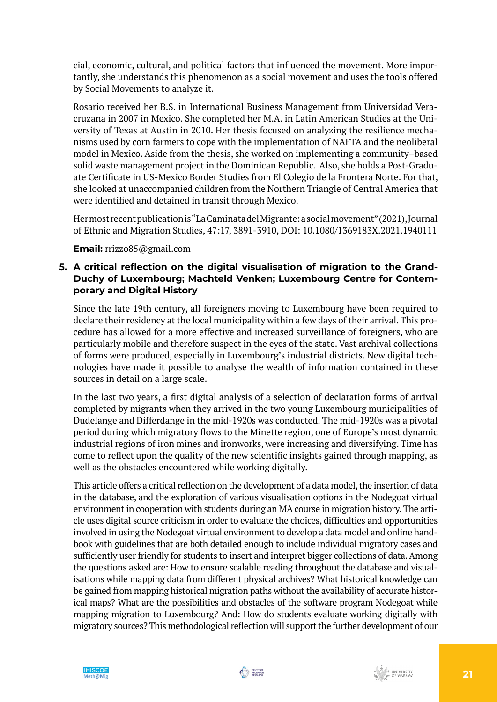cial, economic, cultural, and political factors that influenced the movement. More importantly, she understands this phenomenon as a social movement and uses the tools offered by Social Movements to analyze it.

Rosario received her B.S. in International Business Management from Universidad Veracruzana in 2007 in Mexico. She completed her M.A. in Latin American Studies at the University of Texas at Austin in 2010. Her thesis focused on analyzing the resilience mechanisms used by corn farmers to cope with the implementation of NAFTA and the neoliberal model in Mexico. Aside from the thesis, she worked on implementing a community–based solid waste management project in the Dominican Republic. Also, she holds a Post-Graduate Certificate in US-Mexico Border Studies from El Colegio de la Frontera Norte. For that, she looked at unaccompanied children from the Northern Triangle of Central America that were identified and detained in transit through Mexico.

Her most recent publication is "La Caminata del Migrante: a social movement" (2021), Journal of Ethnic and Migration Studies, 47:17, 3891-3910, DOI: 10.1080/1369183X.2021.1940111

## **Email:** [rrizzo85@gmail.com](mailto:rrizzo85@gmail.com)

## **5. A critical reflection on the digital visualisation of migration to the Grand-Duchy of Luxembourg; Machteld Venken; Luxembourg Centre for Contemporary and Digital History**

Since the late 19th century, all foreigners moving to Luxembourg have been required to declare their residency at the local municipality within a few days of their arrival. This procedure has allowed for a more effective and increased surveillance of foreigners, who are particularly mobile and therefore suspect in the eyes of the state. Vast archival collections of forms were produced, especially in Luxembourg's industrial districts. New digital technologies have made it possible to analyse the wealth of information contained in these sources in detail on a large scale.

In the last two years, a first digital analysis of a selection of declaration forms of arrival completed by migrants when they arrived in the two young Luxembourg municipalities of Dudelange and Differdange in the mid-1920s was conducted. The mid-1920s was a pivotal period during which migratory flows to the Minette region, one of Europe's most dynamic industrial regions of iron mines and ironworks, were increasing and diversifying. Time has come to reflect upon the quality of the new scientific insights gained through mapping, as well as the obstacles encountered while working digitally.

This article offers a critical reflection on the development of a data model, the insertion of data in the database, and the exploration of various visualisation options in the Nodegoat virtual environment in cooperation with students during an MA course in migration history. The article uses digital source criticism in order to evaluate the choices, difficulties and opportunities involved in using the Nodegoat virtual environment to develop a data model and online handbook with guidelines that are both detailed enough to include individual migratory cases and sufficiently user friendly for students to insert and interpret bigger collections of data. Among the questions asked are: How to ensure scalable reading throughout the database and visualisations while mapping data from different physical archives? What historical knowledge can be gained from mapping historical migration paths without the availability of accurate historical maps? What are the possibilities and obstacles of the software program Nodegoat while mapping migration to Luxembourg? And: How do students evaluate working digitally with migratory sources? This methodological reflection will support the further development of our

![](_page_20_Picture_8.jpeg)

![](_page_20_Picture_9.jpeg)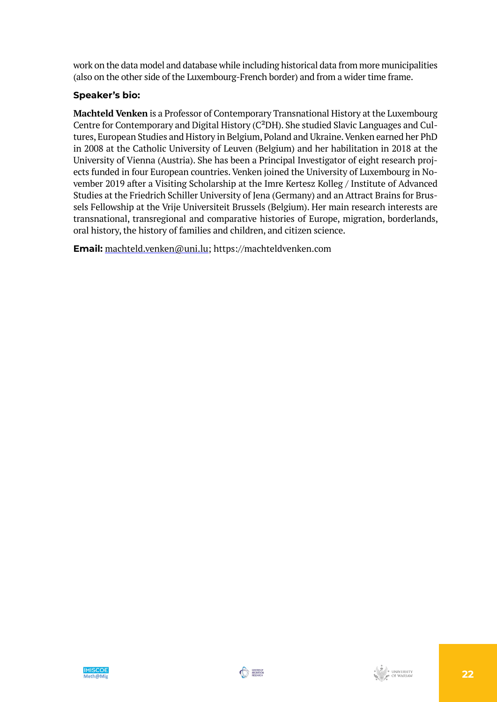work on the data model and database while including historical data from more municipalities (also on the other side of the Luxembourg-French border) and from a wider time frame.

## **Speaker's bio:**

**Machteld Venken** is a Professor of Contemporary Transnational History at the Luxembourg Centre for Contemporary and Digital History (C²DH). She studied Slavic Languages and Cultures, European Studies and History in Belgium, Poland and Ukraine. Venken earned her PhD in 2008 at the Catholic University of Leuven (Belgium) and her habilitation in 2018 at the University of Vienna (Austria). She has been a Principal Investigator of eight research projects funded in four European countries. Venken joined the University of Luxembourg in November 2019 after a Visiting Scholarship at the Imre Kertesz Kolleg / Institute of Advanced Studies at the Friedrich Schiller University of Jena (Germany) and an Attract Brains for Brussels Fellowship at the Vrije Universiteit Brussels (Belgium). Her main research interests are transnational, transregional and comparative histories of Europe, migration, borderlands, oral history, the history of families and children, and citizen science.

**Email:** [machteld.venken@uni.lu;](mailto:machteld.venken@uni.lu) https://machteldvenken.com

![](_page_21_Picture_4.jpeg)

![](_page_21_Picture_5.jpeg)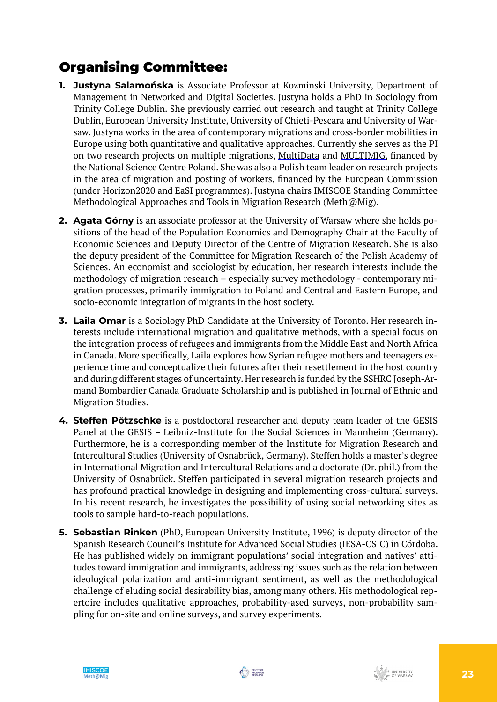# Organising Committee:

- **1. Justyna Salamońska** is Associate Professor at Kozminski University, Department of Management in Networked and Digital Societies. Justyna holds a PhD in Sociology from Trinity College Dublin. She previously carried out research and taught at Trinity College Dublin, European University Institute, University of Chieti-Pescara and University of Warsaw. Justyna works in the area of contemporary migrations and cross-border mobilities in Europe using both quantitative and qualitative approaches. Currently she serves as the PI on two research projects on multiple migrations, [MultiData](https://www.kozminski.edu.pl/en/multiple-migrations-quantitative-data-approach) and [MULTIMIG](https://www.migracje.uw.edu.pl/projects/in-search-of-a-theory-of-multiple-migration-a-quantitative-and-qualitative-study-of-polish-migrants-after-1989/), financed by the National Science Centre Poland. She was also a Polish team leader on research projects in the area of migration and posting of workers, financed by the European Commission (under Horizon2020 and EaSI programmes). Justyna chairs IMISCOE Standing Committee Methodological Approaches and Tools in Migration Research (Meth@Mig).
- **2. Agata Górny** is an associate professor at the University of Warsaw where she holds positions of the head of the Population Economics and Demography Chair at the Faculty of Economic Sciences and Deputy Director of the Centre of Migration Research. She is also the deputy president of the Committee for Migration Research of the Polish Academy of Sciences. An economist and sociologist by education, her research interests include the methodology of migration research – especially survey methodology - contemporary migration processes, primarily immigration to Poland and Central and Eastern Europe, and socio-economic integration of migrants in the host society.
- **3. Laila Omar** is a Sociology PhD Candidate at the University of Toronto. Her research interests include international migration and qualitative methods, with a special focus on the integration process of refugees and immigrants from the Middle East and North Africa in Canada. More specifically, Laila explores how Syrian refugee mothers and teenagers experience time and conceptualize their futures after their resettlement in the host country and during different stages of uncertainty. Her research is funded by the SSHRC Joseph-Armand Bombardier Canada Graduate Scholarship and is published in Journal of Ethnic and Migration Studies.
- **4. Steffen Pötzschke** is a postdoctoral researcher and deputy team leader of the GESIS Panel at the GESIS – Leibniz-Institute for the Social Sciences in Mannheim (Germany). Furthermore, he is a corresponding member of the Institute for Migration Research and Intercultural Studies (University of Osnabrück, Germany). Steffen holds a master's degree in International Migration and Intercultural Relations and a doctorate (Dr. phil.) from the University of Osnabrück. Steffen participated in several migration research projects and has profound practical knowledge in designing and implementing cross-cultural surveys. In his recent research, he investigates the possibility of using social networking sites as tools to sample hard-to-reach populations.
- **5. Sebastian Rinken** (PhD, European University Institute, 1996) is deputy director of the Spanish Research Council's Institute for Advanced Social Studies (IESA-CSIC) in Córdoba. He has published widely on immigrant populations' social integration and natives' attitudes toward immigration and immigrants, addressing issues such as the relation between ideological polarization and anti-immigrant sentiment, as well as the methodological challenge of eluding social desirability bias, among many others. His methodological repertoire includes qualitative approaches, probability-ased surveys, non-probability sampling for on-site and online surveys, and survey experiments.

![](_page_22_Picture_7.jpeg)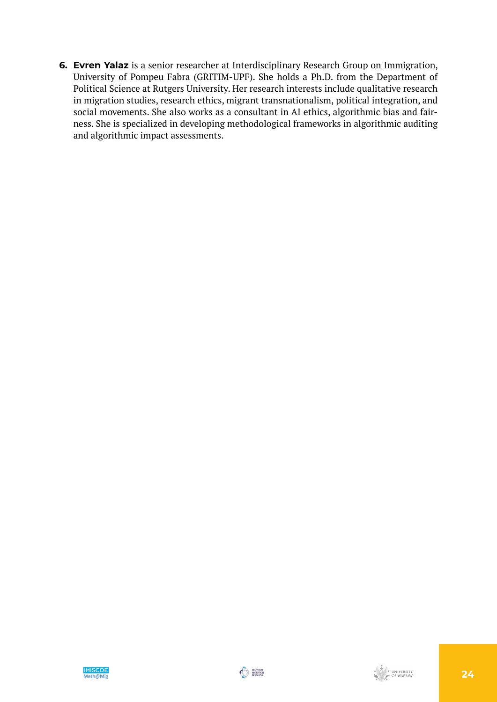**6. Evren Yalaz** is a senior researcher at Interdisciplinary Research Group on Immigration, University of Pompeu Fabra (GRITIM-UPF). She holds a Ph.D. from the Department of Political Science at Rutgers University. Her research interests include qualitative research in migration studies, research ethics, migrant transnationalism, political integration, and social movements. She also works as a consultant in AI ethics, algorithmic bias and fairness. She is specialized in developing methodological frameworks in algorithmic auditing and algorithmic impact assessments.

![](_page_23_Picture_2.jpeg)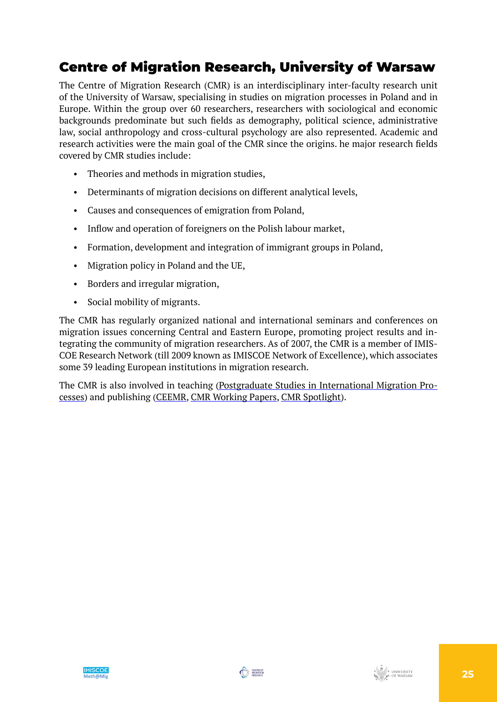# Centre of Migration Research, University of Warsaw

The Centre of Migration Research (CMR) is an interdisciplinary inter-faculty research unit of the University of Warsaw, specialising in studies on migration processes in Poland and in Europe. Within the group over 60 researchers, researchers with sociological and economic backgrounds predominate but such fields as demography, political science, administrative law, social anthropology and cross-cultural psychology are also represented. Academic and research activities were the main goal of the CMR since the origins. he major research fields covered by CMR studies include:

- Theories and methods in migration studies,
- Determinants of migration decisions on different analytical levels,
- Causes and consequences of emigration from Poland,
- Inflow and operation of foreigners on the Polish labour market,
- Formation, development and integration of immigrant groups in Poland,
- Migration policy in Poland and the UE,
- Borders and irregular migration,
- Social mobility of migrants.

The CMR has regularly organized national and international seminars and conferences on migration issues concerning Central and Eastern Europe, promoting project results and integrating the community of migration researchers. As of 2007, the CMR is a member of IMIS-COE Research Network (till 2009 known as IMISCOE Network of Excellence), which associates some 39 leading European institutions in migration research.

The CMR is also involved in teaching [\(Postgraduate Studies in International Migration Pro](https://www.migracje.uw.edu.pl/postgraduate-studies-new-edition/)[cesses](https://www.migracje.uw.edu.pl/postgraduate-studies-new-edition/)) and publishing ([CEEMR](http://www.ceemr.uw.edu.pl/), [CMR Working Papers,](https://www.migracje.uw.edu.pl/publication_type/publications-cmr/) [CMR Spotlight](https://www.migracje.uw.edu.pl/publication_type/spotlight-en/)).

![](_page_24_Picture_13.jpeg)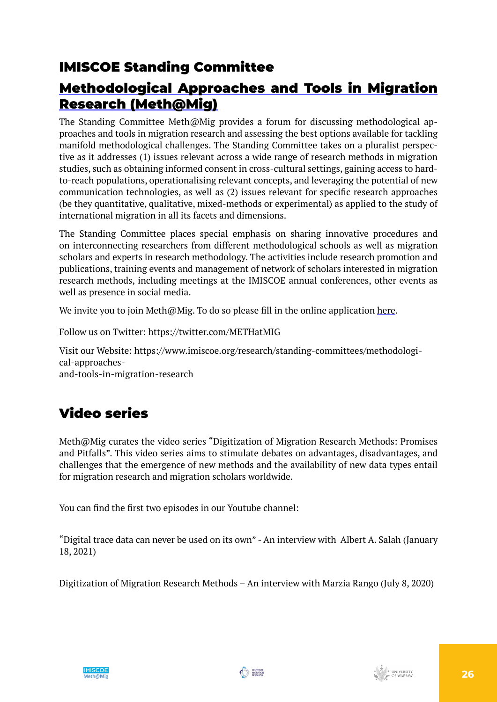## IMISCOE Standing Committee

## [Methodological Approaches and Tools in Migration](https://www.imiscoe.org/research/standing-committees/methodological-approaches-and-tools-in-migration-research) [Research \(Meth@Mig\)](https://www.imiscoe.org/research/standing-committees/methodological-approaches-and-tools-in-migration-research)

The Standing Committee Meth@Mig provides a forum for discussing methodological approaches and tools in migration research and assessing the best options available for tackling manifold methodological challenges. The Standing Committee takes on a pluralist perspective as it addresses (1) issues relevant across a wide range of research methods in migration studies, such as obtaining informed consent in cross-cultural settings, gaining access to hardto-reach populations, operationalising relevant concepts, and leveraging the potential of new communication technologies, as well as (2) issues relevant for specific research approaches (be they quantitative, qualitative, mixed-methods or experimental) as applied to the study of international migration in all its facets and dimensions.

The Standing Committee places special emphasis on sharing innovative procedures and on interconnecting researchers from different methodological schools as well as migration scholars and experts in research methodology. The activities include research promotion and publications, training events and management of network of scholars interested in migration research methods, including meetings at the IMISCOE annual conferences, other events as well as presence in social media.

We invite you to join Meth $\omega$ Mig. To do so please fill in the online application [here.](https://www.imiscoe.org/research/standing-committees/methodological-approaches-and-tools-in-migration-research)

Follow us on Twitter:<https://twitter.com/METHatMIG>

Visit our Website: [https://www.imiscoe.org/research/standing-committees/methodologi](https://www.imiscoe.org/research/standing-committees/methodological-approaches-and-tools-in-migration-research)[cal-approaches](https://www.imiscoe.org/research/standing-committees/methodological-approaches-and-tools-in-migration-research)[and-tools-in-migration-research](https://www.imiscoe.org/research/standing-committees/methodological-approaches-and-tools-in-migration-research)

# Video series

Meth@Mig curates the video series "Digitization of Migration Research Methods: Promises and Pitfalls". This video series aims to stimulate debates on advantages, disadvantages, and challenges that the emergence of new methods and the availability of new data types entail for migration research and migration scholars worldwide.

You can find the first two episodes in our Youtube channel:

["Digital trace data can never be used on its own" - An interview with Albert A. Salah](https://www.youtube.com/watch?v=lj18PikdM-U) (January 18, 2021)

[Digitization](https://www.youtube.com/watch?v=SemJp_4kC4E) of Migration Research Methods – An interview with Marzia Rango (July 8, 2020)

![](_page_25_Picture_13.jpeg)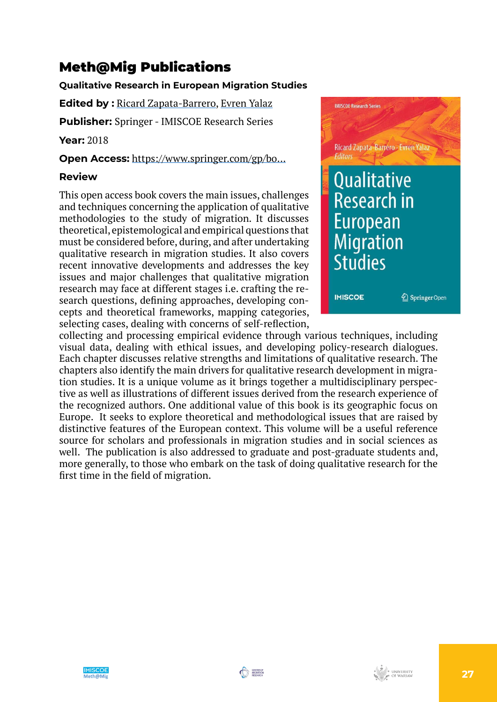# Meth@Mig Publications

## **Qualitative Research in European Migration Studies**

**Edited by :** [Ricard Zapata-Barrero,](https://www.imiscoe.org/publications/library/author/169-ricard-zapata-barrero) [Evren Yalaz](https://www.imiscoe.org/publications/library/author/170-evren-yalaz)

**Publisher:** Springer - IMISCOE Research Series

**Year:** 2018

**Open Access:** https://www.springer.com/gp/bo...

## **Review**

This open access book covers the main issues, challenges and techniques concerning the application of qualitative methodologies to the study of migration. It discusses theoretical, epistemological and empirical questions that must be considered before, during, and after undertaking qualitative research in migration studies. It also covers recent innovative developments and addresses the key issues and major challenges that qualitative migration research may face at different stages i.e. crafting the research questions, defining approaches, developing concepts and theoretical frameworks, mapping categories, selecting cases, dealing with concerns of self-reflection,

![](_page_26_Picture_8.jpeg)

collecting and processing empirical evidence through various techniques, including visual data, dealing with ethical issues, and developing policy-research dialogues. Each chapter discusses relative strengths and limitations of qualitative research. The chapters also identify the main drivers for qualitative research development in migration studies. It is a unique volume as it brings together a multidisciplinary perspective as well as illustrations of different issues derived from the research experience of the recognized authors. One additional value of this book is its geographic focus on Europe. It seeks to explore theoretical and methodological issues that are raised by distinctive features of the European context. This volume will be a useful reference source for scholars and professionals in migration studies and in social sciences as well. The publication is also addressed to graduate and post-graduate students and, more generally, to those who embark on the task of doing qualitative research for the first time in the field of migration.

![](_page_26_Picture_11.jpeg)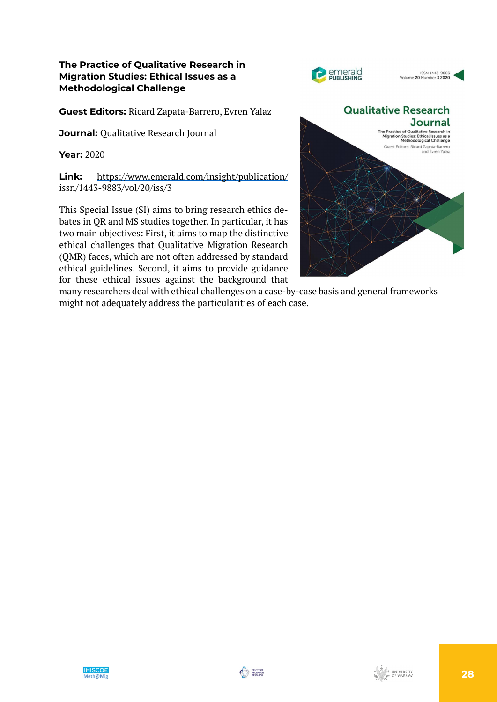### **The Practice of Qualitative Research in Migration Studies: Ethical Issues as a Methodological Challenge**

**Guest Editors:** Ricard Zapata-Barrero, Evren Yalaz

**Journal: Oualitative Research Journal** 

**Year:** 2020

**Link:** [https://www.emerald.com/insight/publication/](https://www.emerald.com/insight/publication/issn/1443-9883/vol/20/iss/3) [issn/1443-9883/vol/20/iss/3](https://www.emerald.com/insight/publication/issn/1443-9883/vol/20/iss/3)

This Special Issue (SI) aims to bring research ethics debates in QR and MS studies together. In particular, it has two main objectives: First, it aims to map the distinctive ethical challenges that Qualitative Migration Research (QMR) faces, which are not often addressed by standard ethical guidelines. Second, it aims to provide guidance for these ethical issues against the background that

![](_page_27_Figure_6.jpeg)

ISSN 1443-9883<br>Volume 20 Number 3 2020

**PERSONAL PUBLISHING** 

many researchers deal with ethical challenges on a case-by-case basis and general frameworks might not adequately address the particularities of each case.

![](_page_27_Picture_9.jpeg)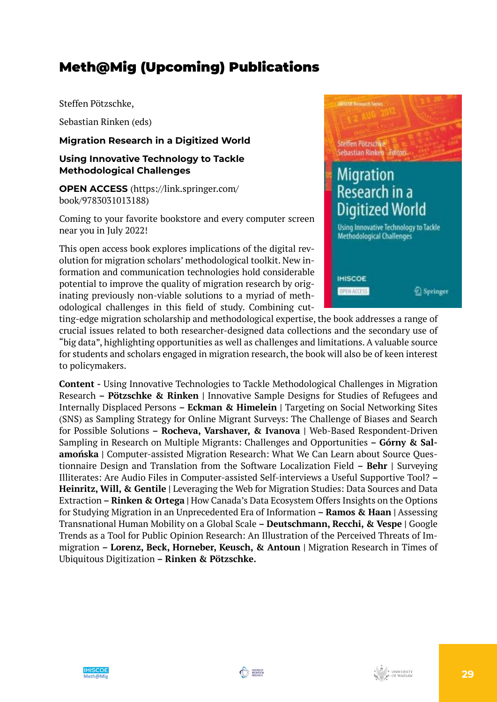## Meth@Mig (Upcoming) Publications

Steffen Pötzschke,

Sebastian Rinken (eds)

**Migration Research in a Digitized World**

## **Using Innovative Technology to Tackle Methodological Challenges**

**OPEN ACCESS** (https://link.springer.com/ book/9783031013188)

Coming to your favorite bookstore and every computer screen near you in July 2022!

This open access book explores implications of the digital revolution for migration scholars' methodological toolkit. New information and communication technologies hold considerable potential to improve the quality of migration research by originating previously non-viable solutions to a myriad of methodological challenges in this field of study. Combining cut-

![](_page_28_Picture_8.jpeg)

ting-edge migration scholarship and methodological expertise, the book addresses a range of crucial issues related to both researcher-designed data collections and the secondary use of "big data", highlighting opportunities as well as challenges and limitations. A valuable source for students and scholars engaged in migration research, the book will also be of keen interest to policymakers.

**Content -** Using Innovative Technologies to Tackle Methodological Challenges in Migration Research **– Pötzschke & Rinken |** Innovative Sample Designs for Studies of Refugees and Internally Displaced Persons **– Eckman & Himelein |** Targeting on Social Networking Sites (SNS) as Sampling Strategy for Online Migrant Surveys: The Challenge of Biases and Search for Possible Solutions **– Rocheva, Varshaver, & Ivanova |** Web-Based Respondent-Driven Sampling in Research on Multiple Migrants: Challenges and Opportunities **– Górny & Salamońska |** Computer-assisted Migration Research: What We Can Learn about Source Questionnaire Design and Translation from the Software Localization Field **– Behr |** Surveying Illiterates: Are Audio Files in Computer-assisted Self-interviews a Useful Supportive Tool? **– Heinritz, Will, & Gentile |** Leveraging the Web for Migration Studies: Data Sources and Data Extraction **– Rinken & Ortega |** How Canada's Data Ecosystem Offers Insights on the Options for Studying Migration in an Unprecedented Era of Information **– Ramos & Haan |** Assessing Transnational Human Mobility on a Global Scale **– Deutschmann, Recchi, & Vespe |** Google Trends as a Tool for Public Opinion Research: An Illustration of the Perceived Threats of Immigration **– Lorenz, Beck, Horneber, Keusch, & Antoun |** Migration Research in Times of Ubiquitous Digitization **– Rinken & Pötzschke.** 

![](_page_28_Picture_12.jpeg)